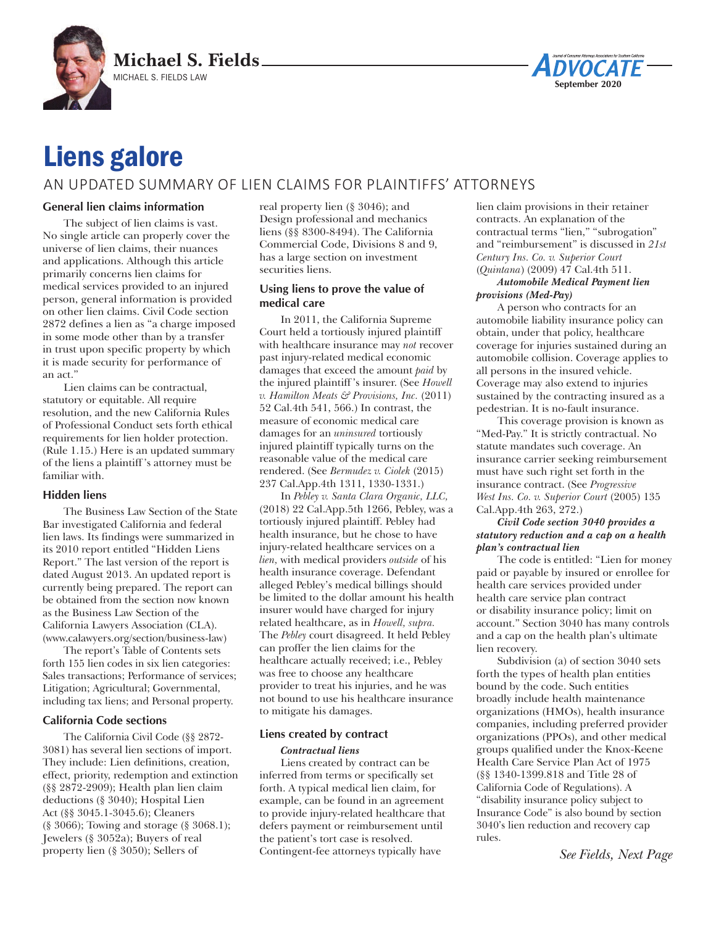



# Liens galore

# AN UPDATED SUMMARY OF LIEN CLAIMS FOR PLAINTIFFS' ATTORNEYS

# **General lien claims information**

The subject of lien claims is vast. No single article can properly cover the universe of lien claims, their nuances and applications. Although this article primarily concerns lien claims for medical services provided to an injured person, general information is provided on other lien claims. Civil Code section 2872 defines a lien as "a charge imposed in some mode other than by a transfer in trust upon specific property by which it is made security for performance of an act."

Lien claims can be contractual, statutory or equitable. All require resolution, and the new California Rules of Professional Conduct sets forth ethical requirements for lien holder protection. (Rule 1.15.) Here is an updated summary of the liens a plaintiff 's attorney must be familiar with.

# **Hidden liens**

The Business Law Section of the State Bar investigated California and federal lien laws. Its findings were summarized in its 2010 report entitled "Hidden Liens Report." The last version of the report is dated August 2013. An updated report is currently being prepared. The report can be obtained from the section now known as the Business Law Section of the California Lawyers Association (CLA). (www.calawyers.org/section/business-law)

The report's Table of Contents sets forth 155 lien codes in six lien categories: Sales transactions; Performance of services; Litigation; Agricultural; Governmental, including tax liens; and Personal property.

# **California Code sections**

The California Civil Code (§§ 2872- 3081) has several lien sections of import. They include: Lien definitions, creation, effect, priority, redemption and extinction (§§ 2872-2909); Health plan lien claim deductions (§ 3040); Hospital Lien Act (§§ 3045.1-3045.6); Cleaners (§ 3066); Towing and storage (§ 3068.1); Jewelers (§ 3052a); Buyers of real property lien (§ 3050); Sellers of

real property lien (§ 3046); and Design professional and mechanics liens (§§ 8300-8494). The California Commercial Code, Divisions 8 and 9, has a large section on investment securities liens.

# **Using liens to prove the value of medical care**

In 2011, the California Supreme Court held a tortiously injured plaintiff with healthcare insurance may *not* recover past injury-related medical economic damages that exceed the amount *paid* by the injured plaintiff 's insurer. (See *Howell v. Hamilton Meats & Provisions, Inc.* (2011) 52 Cal.4th 541, 566.) In contrast, the measure of economic medical care damages for an *uninsured* tortiously injured plaintiff typically turns on the reasonable value of the medical care rendered. (See *Bermudez v. Ciolek* (2015) 237 Cal.App.4th 1311, 1330-1331.)

In *Pebley v. Santa Clara Organic, LLC,*  (2018) 22 Cal.App.5th 1266, Pebley, was a tortiously injured plaintiff. Pebley had health insurance, but he chose to have injury-related healthcare services on a *lien,* with medical providers *outside* of his health insurance coverage. Defendant alleged Pebley's medical billings should be limited to the dollar amount his health insurer would have charged for injury related healthcare, as in *Howell, supra.*  The *Pebley* court disagreed. It held Pebley can proffer the lien claims for the healthcare actually received; i.e., Pebley was free to choose any healthcare provider to treat his injuries, and he was not bound to use his healthcare insurance to mitigate his damages.

# **Liens created by contract**

# *Contractual liens*

Liens created by contract can be inferred from terms or specifically set forth. A typical medical lien claim, for example, can be found in an agreement to provide injury-related healthcare that defers payment or reimbursement until the patient's tort case is resolved. Contingent-fee attorneys typically have

lien claim provisions in their retainer contracts. An explanation of the contractual terms "lien," "subrogation" and "reimbursement" is discussed in *21st Century Ins. Co. v. Superior Court*  (*Quintana*) (2009) 47 Cal.4th 511.

#### *Automobile Medical Payment lien provisions (Med-Pay)*

A person who contracts for an automobile liability insurance policy can obtain, under that policy, healthcare coverage for injuries sustained during an automobile collision. Coverage applies to all persons in the insured vehicle. Coverage may also extend to injuries sustained by the contracting insured as a pedestrian. It is no-fault insurance.

This coverage provision is known as "Med-Pay." It is strictly contractual. No statute mandates such coverage. An insurance carrier seeking reimbursement must have such right set forth in the insurance contract. (See *Progressive West Ins. Co. v. Superior Court* (2005) 135 Cal.App.4th 263, 272.)

#### *Civil Code section 3040 provides a statutory reduction and a cap on a health plan's contractual lien*

The code is entitled: "Lien for money paid or payable by insured or enrollee for health care services provided under health care service plan contract or disability insurance policy; limit on account." Section 3040 has many controls and a cap on the health plan's ultimate lien recovery.

Subdivision (a) of section 3040 sets forth the types of health plan entities bound by the code. Such entities broadly include health maintenance organizations (HMOs), health insurance companies, including preferred provider organizations (PPOs), and other medical groups qualified under the Knox-Keene Health Care Service Plan Act of 1975 (§§ 1340-1399.818 and Title 28 of California Code of Regulations). A "disability insurance policy subject to Insurance Code" is also bound by section 3040's lien reduction and recovery cap rules.

*See Fields, Next Page*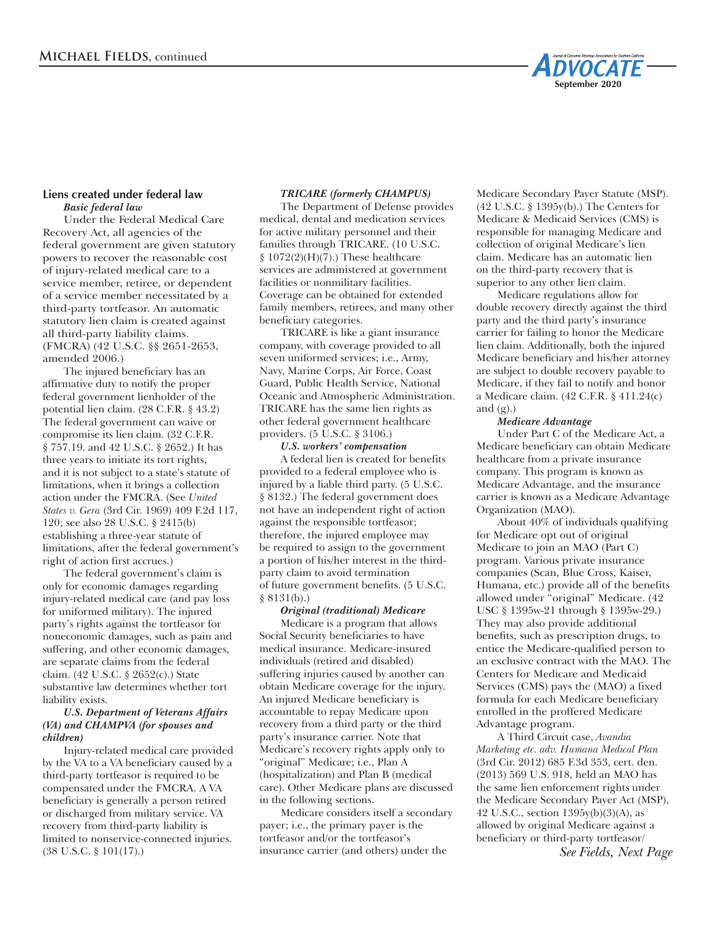

# **Liens created under federal law** *Basic federal law*

Under the Federal Medical Care Recovery Act, all agencies of the federal government are given statutory powers to recover the reasonable cost of injury-related medical care to a service member, retiree, or dependent of a service member necessitated by a third-party tortfeasor. An automatic statutory lien claim is created against all third-party liability claims. (FMCRA) (42 U.S.C. §§ 2651-2653, amended 2006.)

The injured beneficiary has an affirmative duty to notify the proper federal government lienholder of the potential lien claim. (28 C.F.R. § 43.2) The federal government can waive or compromise its lien claim. (32 C.F.R. § 757.19. and 42 U.S.C. § 2652.) It has three years to initiate its tort rights, and it is not subject to a state's statute of limitations, when it brings a collection action under the FMCRA. (See *United States v. Gera* (3rd Cir. 1969) 409 F.2d 117, 120; see also 28 U.S.C. § 2415(b) establishing a three-year statute of limitations, after the federal government's right of action first accrues.)

The federal government's claim is only for economic damages regarding injury-related medical care (and pay loss for uniformed military). The injured party's rights against the tortfeasor for noneconomic damages, such as pain and suffering, and other economic damages, are separate claims from the federal claim. (42 U.S.C. § 2652(c).) State substantive law determines whether tort liability exists.

## *U.S. Department of Veterans Affairs (VA) and CHAMPVA (for spouses and children)*

Injury-related medical care provided by the VA to a VA beneficiary caused by a third-party tortfeasor is required to be compensated under the FMCRA. A VA beneficiary is generally a person retired or discharged from military service. VA recovery from third-party liability is limited to nonservice-connected injuries. (38 U.S.C. § 101(17).)

# *TRICARE (formerly CHAMPUS)*

The Department of Defense provides medical, dental and medication services for active military personnel and their families through TRICARE. (10 U.S.C.  $§ 1072(2)(H)(7)$ .) These healthcare services are administered at government facilities or nonmilitary facilities. Coverage can be obtained for extended family members, retirees, and many other beneficiary categories.

TRICARE is like a giant insurance company, with coverage provided to all seven uniformed services; i.e., Army, Navy, Marine Corps, Air Force, Coast Guard, Public Health Service, National Oceanic and Atmospheric Administration. TRICARE has the same lien rights as other federal government healthcare providers. (5 U.S.C. § 3106.)

# *U.S. workers' compensation*

A federal lien is created for benefits provided to a federal employee who is injured by a liable third party. (5 U.S.C. § 8132.) The federal government does not have an independent right of action against the responsible tortfeasor; therefore, the injured employee may be required to assign to the government a portion of his/her interest in the thirdparty claim to avoid termination of future government benefits. (5 U.S.C. § 8131(b).)

#### *Original (traditional) Medicare*

Medicare is a program that allows Social Security beneficiaries to have medical insurance. Medicare-insured individuals (retired and disabled) suffering injuries caused by another can obtain Medicare coverage for the injury. An injured Medicare beneficiary is accountable to repay Medicare upon recovery from a third party or the third party's insurance carrier. Note that Medicare's recovery rights apply only to "original" Medicare; i.e., Plan A (hospitalization) and Plan B (medical care). Other Medicare plans are discussed in the following sections.

Medicare considers itself a secondary payer; i.e., the primary payer is the tortfeasor and/or the tortfeasor's insurance carrier (and others) under the

Medicare Secondary Payer Statute (MSP). (42 U.S.C. § 1395y(b).) The Centers for Medicare & Medicaid Services (CMS) is responsible for managing Medicare and collection of original Medicare's lien claim. Medicare has an automatic lien on the third-party recovery that is superior to any other lien claim.

Medicare regulations allow for double recovery directly against the third party and the third party's insurance carrier for failing to honor the Medicare lien claim. Additionally, both the injured Medicare beneficiary and his/her attorney are subject to double recovery payable to Medicare, if they fail to notify and honor a Medicare claim. (42 C.F.R. § 411.24(c) and  $(g)$ .)

#### *Medicare Advantage*

Under Part C of the Medicare Act, a Medicare beneficiary can obtain Medicare healthcare from a private insurance company. This program is known as Medicare Advantage, and the insurance carrier is known as a Medicare Advantage Organization (MAO).

About 40% of individuals qualifying for Medicare opt out of original Medicare to join an MAO (Part C) program. Various private insurance companies (Scan, Blue Cross, Kaiser, Humana, etc.) provide all of the benefits allowed under "original" Medicare. (42 USC § 1395w-21 through § 1395w-29.) They may also provide additional benefits, such as prescription drugs, to entice the Medicare-qualified person to an exclusive contract with the MAO. The Centers for Medicare and Medicaid Services (CMS) pays the (MAO) a fixed formula for each Medicare beneficiary enrolled in the proffered Medicare Advantage program.

A Third Circuit case, *Avandia Marketing etc. adv. Humana Medical Plan*  (3rd Cir. 2012) 685 F.3d 353, cert. den. (2013) 569 U.S. 918, held an MAO has the same lien enforcement rights under the Medicare Secondary Payer Act (MSP), 42 U.S.C., section 1395y(b)(3)(A), as allowed by original Medicare against a beneficiary or third-party tortfeasor/ *See Fields, Next Page*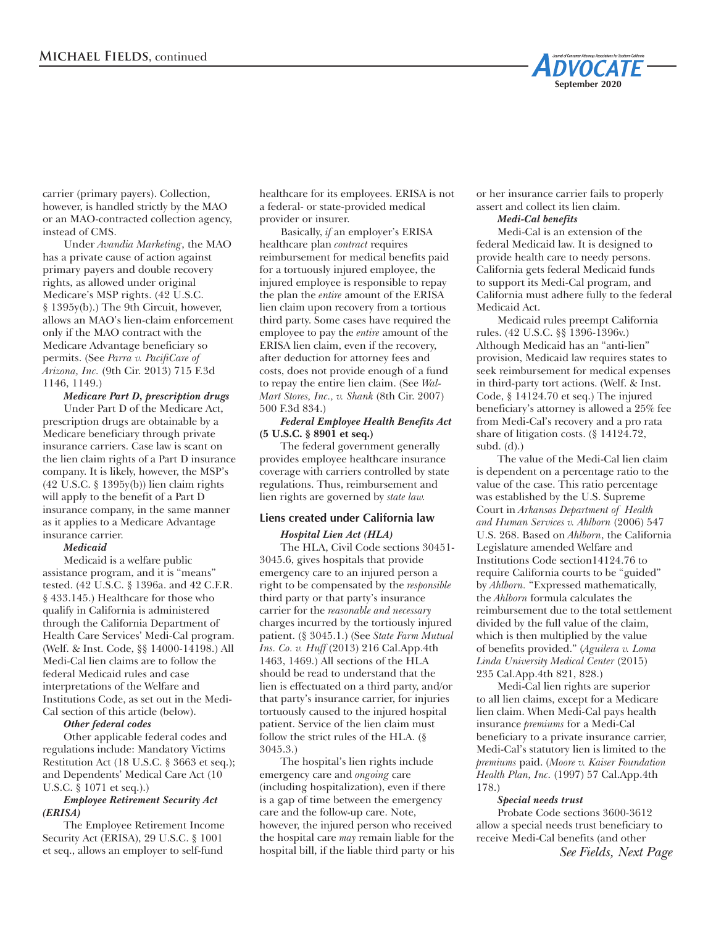

carrier (primary payers). Collection, however, is handled strictly by the MAO or an MAO-contracted collection agency, instead of CMS.

Under *Avandia Marketing*, the MAO has a private cause of action against primary payers and double recovery rights, as allowed under original Medicare's MSP rights. (42 U.S.C. § 1395y(b).) The 9th Circuit, however, allows an MAO's lien-claim enforcement only if the MAO contract with the Medicare Advantage beneficiary so permits. (See *Parra v. PacifiCare of Arizona, Inc.* (9th Cir. 2013) 715 F.3d 1146, 1149.)

# *Medicare Part D, prescription drugs*

Under Part D of the Medicare Act, prescription drugs are obtainable by a Medicare beneficiary through private insurance carriers. Case law is scant on the lien claim rights of a Part D insurance company. It is likely, however, the MSP's (42 U.S.C. § 1395y(b)) lien claim rights will apply to the benefit of a Part D insurance company, in the same manner as it applies to a Medicare Advantage insurance carrier.

#### *Medicaid*

Medicaid is a welfare public assistance program, and it is "means" tested. (42 U.S.C. § 1396a. and 42 C.F.R. § 433.145.) Healthcare for those who qualify in California is administered through the California Department of Health Care Services' Medi-Cal program. (Welf. & Inst. Code, §§ 14000-14198.) All Medi-Cal lien claims are to follow the federal Medicaid rules and case interpretations of the Welfare and Institutions Code, as set out in the Medi-Cal section of this article (below).

#### *Other federal codes*

Other applicable federal codes and regulations include: Mandatory Victims Restitution Act (18 U.S.C. § 3663 et seq.); and Dependents' Medical Care Act (10 U.S.C. § 1071 et seq.).)

#### *Employee Retirement Security Act (ERISA)*

The Employee Retirement Income Security Act (ERISA), 29 U.S.C. § 1001 et seq., allows an employer to self-fund

healthcare for its employees. ERISA is not a federal- or state-provided medical provider or insurer.

Basically, *if* an employer's ERISA healthcare plan *contract* requires reimbursement for medical benefits paid for a tortuously injured employee, the injured employee is responsible to repay the plan the *entire* amount of the ERISA lien claim upon recovery from a tortious third party. Some cases have required the employee to pay the *entire* amount of the ERISA lien claim, even if the recovery, after deduction for attorney fees and costs, does not provide enough of a fund to repay the entire lien claim. (See *Wal-Mart Stores, Inc., v. Shank* (8th Cir. 2007) 500 F.3d 834.)

#### *Federal Employee Health Benefits Act*  **(5 U.S.C. § 8901 et seq.)**

The federal government generally provides employee healthcare insurance coverage with carriers controlled by state regulations. Thus, reimbursement and lien rights are governed by *state law.*

# **Liens created under California law**

# *Hospital Lien Act (HLA)*

The HLA, Civil Code sections 30451- 3045.6, gives hospitals that provide emergency care to an injured person a right to be compensated by the *responsible* third party or that party's insurance carrier for the *reasonable and necessary* charges incurred by the tortiously injured patient. (§ 3045.1.) (See *State Farm Mutual Ins. Co. v. Huff* (2013) 216 Cal.App.4th 1463, 1469.) All sections of the HLA should be read to understand that the lien is effectuated on a third party, and/or that party's insurance carrier, for injuries tortuously caused to the injured hospital patient. Service of the lien claim must follow the strict rules of the HLA. (§ 3045.3.)

The hospital's lien rights include emergency care and *ongoing* care (including hospitalization), even if there is a gap of time between the emergency care and the follow-up care. Note, however, the injured person who received the hospital care *may* remain liable for the hospital bill, if the liable third party or his or her insurance carrier fails to properly assert and collect its lien claim.

# *Medi-Cal benefits*

Medi-Cal is an extension of the federal Medicaid law. It is designed to provide health care to needy persons. California gets federal Medicaid funds to support its Medi-Cal program, and California must adhere fully to the federal Medicaid Act.

Medicaid rules preempt California rules. (42 U.S.C. §§ 1396-1396v.) Although Medicaid has an "anti-lien" provision, Medicaid law requires states to seek reimbursement for medical expenses in third-party tort actions. (Welf. & Inst. Code, § 14124.70 et seq.) The injured beneficiary's attorney is allowed a 25% fee from Medi-Cal's recovery and a pro rata share of litigation costs. (§ 14124.72, subd. (d).)

The value of the Medi-Cal lien claim is dependent on a percentage ratio to the value of the case. This ratio percentage was established by the U.S. Supreme Court in *Arkansas Department of Health and Human Services v. Ahlborn* (2006) 547 U.S. 268. Based on *Ahlborn*, the California Legislature amended Welfare and Institutions Code section14124.76 to require California courts to be "guided" by *Ahlborn.* "Expressed mathematically, the *Ahlborn* formula calculates the reimbursement due to the total settlement divided by the full value of the claim, which is then multiplied by the value of benefits provided." (*Aguilera v. Loma Linda University Medical Center* (2015) 235 Cal.App.4th 821, 828.)

Medi-Cal lien rights are superior to all lien claims, except for a Medicare lien claim. When Medi-Cal pays health insurance *premiums* for a Medi-Cal beneficiary to a private insurance carrier, Medi-Cal's statutory lien is limited to the *premiums* paid. (*Moore v. Kaiser Foundation Health Plan, Inc.* (1997) 57 Cal.App.4th 178.)

#### *Special needs trust*

Probate Code sections 3600-3612 allow a special needs trust beneficiary to receive Medi-Cal benefits (and other *See Fields, Next Page*